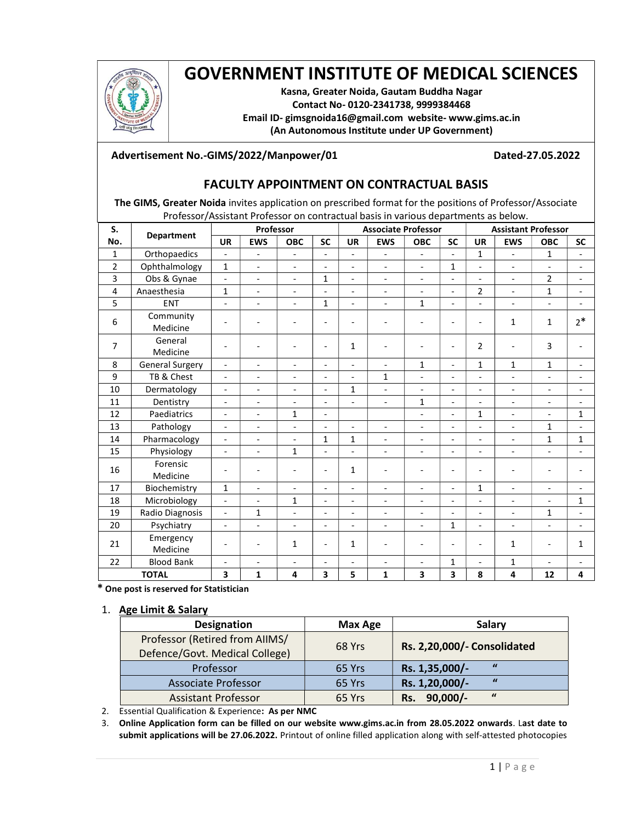

# GOVERNMENT INSTITUTE OF MEDICAL SCIENCES

Kasna, Greater Noida, Gautam Buddha Nagar Contact No- 0120-2341738, 9999384468 Email ID- gimsgnoida16@gmail.com website- www.gims.ac.in (An Autonomous Institute under UP Government)

## Advertisement No.-GIMS/2022/Manpower/01 Dated-27.05.2022

# FACULTY APPOINTMENT ON CONTRACTUAL BASIS

The GIMS, Greater Noida invites application on prescribed format for the positions of Professor/Associate Professor/Assistant Professor on contractual basis in various departments as below.

| S.             | <b>Department</b>      | Professor                |                              |                          |                              | <b>Associate Professor</b> |                          |                          |                          | <b>Assistant Professor</b> |                              |                          |                          |
|----------------|------------------------|--------------------------|------------------------------|--------------------------|------------------------------|----------------------------|--------------------------|--------------------------|--------------------------|----------------------------|------------------------------|--------------------------|--------------------------|
| No.            |                        | <b>UR</b>                | <b>EWS</b>                   | <b>OBC</b>               | <b>SC</b>                    | <b>UR</b>                  | <b>EWS</b>               | <b>OBC</b>               | <b>SC</b>                | <b>UR</b>                  | <b>EWS</b>                   | <b>OBC</b>               | <b>SC</b>                |
| 1              | Orthopaedics           |                          | $\qquad \qquad \blacksquare$ |                          | $\overline{\phantom{a}}$     | $\overline{\phantom{a}}$   | $\overline{\phantom{a}}$ | $\overline{\phantom{a}}$ |                          | $\mathbf{1}$               | $\qquad \qquad \blacksquare$ | $\mathbf{1}$             |                          |
| $\overline{2}$ | Ophthalmology          | $\mathbf{1}$             | $\blacksquare$               | $\overline{\phantom{a}}$ | $\blacksquare$               | $\blacksquare$             | $\overline{\phantom{a}}$ | $\blacksquare$           | $\mathbf{1}$             | $\overline{a}$             | $\blacksquare$               | $\blacksquare$           | $\blacksquare$           |
| $\overline{3}$ | Obs & Gynae            | $\blacksquare$           | $\overline{\phantom{a}}$     | $\blacksquare$           | $\mathbf{1}$                 | $\overline{\phantom{a}}$   | $\blacksquare$           | $\blacksquare$           | $\overline{\phantom{a}}$ | $\overline{a}$             | $\blacksquare$               | $\overline{2}$           | $\blacksquare$           |
| 4              | Anaesthesia            | $\mathbf{1}$             | $\blacksquare$               | $\overline{\phantom{a}}$ | $\overline{\phantom{a}}$     | $\blacksquare$             | $\overline{\phantom{a}}$ | $\blacksquare$           | $\overline{\phantom{a}}$ | $\overline{2}$             | $\overline{\phantom{a}}$     | $\mathbf{1}$             |                          |
| 5              | <b>ENT</b>             | $\overline{a}$           | $\blacksquare$               | $\overline{\phantom{a}}$ | $\mathbf{1}$                 | $\overline{\phantom{a}}$   | $\overline{a}$           | $\mathbf{1}$             | $\overline{a}$           | $\overline{a}$             | $\overline{\phantom{a}}$     | $\overline{\phantom{a}}$ |                          |
| 6              | Community<br>Medicine  |                          |                              |                          |                              |                            |                          |                          |                          |                            | $\mathbf{1}$                 | $\mathbf{1}$             | $2*$                     |
| $\overline{7}$ | General<br>Medicine    |                          |                              |                          | $\overline{\phantom{a}}$     | 1                          |                          |                          | L                        | $\overline{2}$             |                              | 3                        |                          |
| 8              | <b>General Surgery</b> | ÷.                       | $\blacksquare$               | $\overline{a}$           | $\overline{a}$               | $\overline{\phantom{a}}$   | $\overline{\phantom{a}}$ | $\mathbf{1}$             | $\overline{\phantom{a}}$ | $\mathbf{1}$               | $\mathbf{1}$                 | $\mathbf{1}$             |                          |
| 9              | TB & Chest             | $\blacksquare$           | $\blacksquare$               | $\blacksquare$           | $\blacksquare$               | $\blacksquare$             | $\mathbf{1}$             | $\overline{\phantom{a}}$ | $\blacksquare$           | $\overline{a}$             | $\frac{1}{2}$                | $\blacksquare$           | $\overline{\phantom{a}}$ |
| 10             | Dermatology            | $\overline{\phantom{a}}$ | $\overline{\phantom{a}}$     | $\overline{\phantom{a}}$ | $\overline{\phantom{a}}$     | $\mathbf{1}$               | $\overline{a}$           |                          | $\overline{a}$           | $\overline{a}$             | $\frac{1}{2}$                | $\overline{\phantom{0}}$ |                          |
| 11             | Dentistry              | $\overline{\phantom{0}}$ | $\overline{\phantom{a}}$     | $\overline{\phantom{a}}$ | $\qquad \qquad \blacksquare$ | $\overline{\phantom{a}}$   | $\overline{a}$           | $\mathbf{1}$             | $\overline{\phantom{a}}$ | $\overline{a}$             | $\overline{\phantom{a}}$     | $\overline{\phantom{a}}$ |                          |
| 12             | Paediatrics            | $\overline{\phantom{a}}$ | $\overline{\phantom{a}}$     | $\mathbf{1}$             | $\qquad \qquad \blacksquare$ |                            |                          |                          | $\overline{\phantom{a}}$ | $\mathbf{1}$               | $\overline{\phantom{a}}$     | $\overline{\phantom{a}}$ | $\mathbf{1}$             |
| 13             | Pathology              | $\blacksquare$           | $\blacksquare$               | $\blacksquare$           | $\overline{\phantom{a}}$     | $\blacksquare$             | $\blacksquare$           | $\blacksquare$           | $\overline{\phantom{a}}$ | $\overline{a}$             | $\overline{\phantom{a}}$     | $\mathbf{1}$             |                          |
| 14             | Pharmacology           | $\overline{\phantom{a}}$ | $\overline{\phantom{a}}$     | $\blacksquare$           | $\mathbf 1$                  | $\mathbf{1}$               | $\blacksquare$           | $\overline{\phantom{a}}$ | $\overline{\phantom{a}}$ | $\overline{a}$             | $\overline{\phantom{a}}$     | $\mathbf{1}$             | $\mathbf{1}$             |
| 15             | Physiology             | $\overline{\phantom{0}}$ | $\blacksquare$               | $\mathbf{1}$             | $\overline{a}$               | $\blacksquare$             | $\overline{\phantom{a}}$ | $\blacksquare$           | ÷.                       | ÷,                         | $\overline{\phantom{0}}$     | $\overline{a}$           |                          |
| 16             | Forensic<br>Medicine   |                          | $\overline{a}$               |                          | $\overline{\phantom{a}}$     | 1                          |                          |                          |                          |                            |                              |                          |                          |
| 17             | Biochemistry           | $\mathbf{1}$             | $\blacksquare$               | $\blacksquare$           | $\blacksquare$               | $\blacksquare$             | $\overline{\phantom{a}}$ | $\overline{\phantom{a}}$ | $\overline{\phantom{0}}$ | $\mathbf{1}$               | $\blacksquare$               | $\blacksquare$           | $\blacksquare$           |
| 18             | Microbiology           | $\overline{a}$           | $\blacksquare$               | $\mathbf{1}$             | $\overline{\phantom{a}}$     | $\blacksquare$             | $\overline{\phantom{a}}$ | $\overline{\phantom{a}}$ | ÷.                       | $\overline{a}$             | $\overline{\phantom{a}}$     | $\overline{\phantom{0}}$ | $\mathbf{1}$             |
| 19             | Radio Diagnosis        | $\blacksquare$           | 1                            | $\overline{\phantom{a}}$ | $\overline{\phantom{a}}$     | $\blacksquare$             | $\overline{\phantom{a}}$ | $\overline{\phantom{a}}$ | $\overline{\phantom{a}}$ | L,                         | $\overline{\phantom{a}}$     | $\mathbf{1}$             |                          |
| 20             | Psychiatry             | $\overline{a}$           | $\overline{\phantom{a}}$     |                          | $\overline{\phantom{a}}$     | $\overline{\phantom{a}}$   | $\overline{\phantom{a}}$ |                          | $\mathbf{1}$             | L,                         | $\overline{\phantom{a}}$     | $\overline{a}$           |                          |
| 21             | Emergency<br>Medicine  |                          | $\overline{a}$               | $\mathbf{1}$             | $\overline{\phantom{a}}$     | $\mathbf{1}$               |                          |                          |                          |                            | $\mathbf{1}$                 |                          | $\mathbf{1}$             |
| 22             | <b>Blood Bank</b>      | $\blacksquare$           | $\blacksquare$               | $\blacksquare$           | $\overline{a}$               | $\blacksquare$             | $\blacksquare$           | $\overline{\phantom{a}}$ | $\mathbf{1}$             | $\overline{\phantom{a}}$   | $\mathbf{1}$                 | $\blacksquare$           | $\blacksquare$           |
| <b>TOTAL</b>   |                        | 3                        | $\mathbf{1}$                 | 4                        | 3                            | 5                          | $\mathbf{1}$             | 3                        | 3                        | 8                          | 4                            | 12                       | 4                        |

\* One post is reserved for Statistician

#### 1. Age Limit & Salary

| Designation                                                      | Max Age | <b>Salary</b>                         |  |  |  |
|------------------------------------------------------------------|---------|---------------------------------------|--|--|--|
| Professor (Retired from AIIMS/<br>Defence/Govt. Medical College) | 68 Yrs  | Rs. 2,20,000/- Consolidated           |  |  |  |
| Professor                                                        | 65 Yrs  | $\overline{u}$<br>Rs. 1,35,000/-      |  |  |  |
| <b>Associate Professor</b>                                       | 65 Yrs  | $\overline{u}$<br>Rs. 1,20,000/-      |  |  |  |
| <b>Assistant Professor</b>                                       | 65 Yrs  | $\boldsymbol{u}$<br>$90,000/-$<br>Rs. |  |  |  |

2. Essential Qualification & Experience: As per NMC

3. Online Application form can be filled on our website www.gims.ac.in from 28.05.2022 onwards. Last date to submit applications will be 27.06.2022. Printout of online filled application along with self-attested photocopies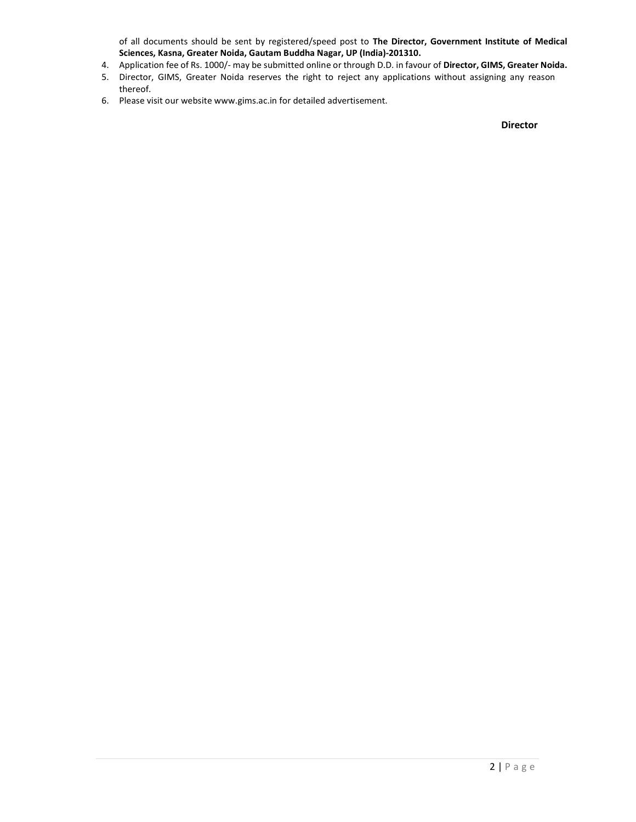of all documents should be sent by registered/speed post to The Director, Government Institute of Medical Sciences, Kasna, Greater Noida, Gautam Buddha Nagar, UP (India)-201310.

- 4. Application fee of Rs. 1000/- may be submitted online or through D.D. in favour of Director, GIMS, Greater Noida.
- 5. Director, GIMS, Greater Noida reserves the right to reject any applications without assigning any reason thereof.
- 6. Please visit our website www.gims.ac.in for detailed advertisement.

Director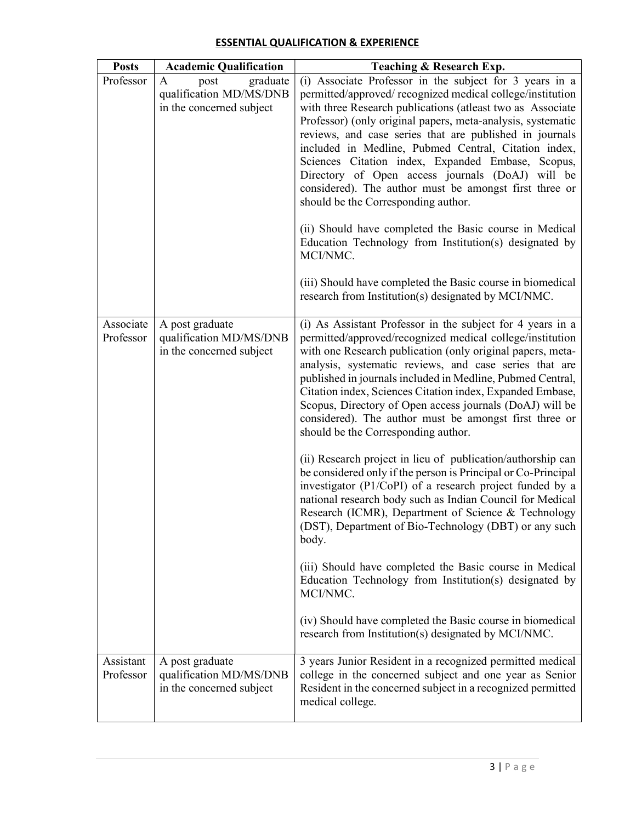| <b>Posts</b>           | <b>Academic Qualification</b>                                                | Teaching & Research Exp.                                                                                                                                                                                                                                                                                                                                                                                                                                                                                                                                                                                                                                                                                                                                                                                                             |
|------------------------|------------------------------------------------------------------------------|--------------------------------------------------------------------------------------------------------------------------------------------------------------------------------------------------------------------------------------------------------------------------------------------------------------------------------------------------------------------------------------------------------------------------------------------------------------------------------------------------------------------------------------------------------------------------------------------------------------------------------------------------------------------------------------------------------------------------------------------------------------------------------------------------------------------------------------|
| Professor              | graduate<br>A<br>post<br>qualification MD/MS/DNB<br>in the concerned subject | (i) Associate Professor in the subject for 3 years in a<br>permitted/approved/ recognized medical college/institution<br>with three Research publications (atleast two as Associate<br>Professor) (only original papers, meta-analysis, systematic<br>reviews, and case series that are published in journals<br>included in Medline, Pubmed Central, Citation index,<br>Sciences Citation index, Expanded Embase, Scopus,<br>Directory of Open access journals (DoAJ) will be<br>considered). The author must be amongst first three or<br>should be the Corresponding author.<br>(ii) Should have completed the Basic course in Medical<br>Education Technology from Institution(s) designated by<br>MCI/NMC.<br>(iii) Should have completed the Basic course in biomedical<br>research from Institution(s) designated by MCI/NMC. |
| Associate<br>Professor | A post graduate<br>qualification MD/MS/DNB<br>in the concerned subject       | (i) As Assistant Professor in the subject for 4 years in a<br>permitted/approved/recognized medical college/institution<br>with one Research publication (only original papers, meta-<br>analysis, systematic reviews, and case series that are<br>published in journals included in Medline, Pubmed Central,<br>Citation index, Sciences Citation index, Expanded Embase,<br>Scopus, Directory of Open access journals (DoAJ) will be<br>considered). The author must be amongst first three or<br>should be the Corresponding author.                                                                                                                                                                                                                                                                                              |
|                        |                                                                              | (ii) Research project in lieu of publication/authorship can<br>be considered only if the person is Principal or Co-Principal<br>investigator (P1/CoPI) of a research project funded by a<br>national research body such as Indian Council for Medical<br>Research (ICMR), Department of Science & Technology<br>(DST), Department of Bio-Technology (DBT) or any such<br>body.                                                                                                                                                                                                                                                                                                                                                                                                                                                       |
|                        |                                                                              | (iii) Should have completed the Basic course in Medical<br>Education Technology from Institution(s) designated by<br>MCI/NMC.                                                                                                                                                                                                                                                                                                                                                                                                                                                                                                                                                                                                                                                                                                        |
|                        |                                                                              | (iv) Should have completed the Basic course in biomedical<br>research from Institution(s) designated by MCI/NMC.                                                                                                                                                                                                                                                                                                                                                                                                                                                                                                                                                                                                                                                                                                                     |
| Assistant<br>Professor | A post graduate<br>qualification MD/MS/DNB<br>in the concerned subject       | 3 years Junior Resident in a recognized permitted medical<br>college in the concerned subject and one year as Senior<br>Resident in the concerned subject in a recognized permitted<br>medical college.                                                                                                                                                                                                                                                                                                                                                                                                                                                                                                                                                                                                                              |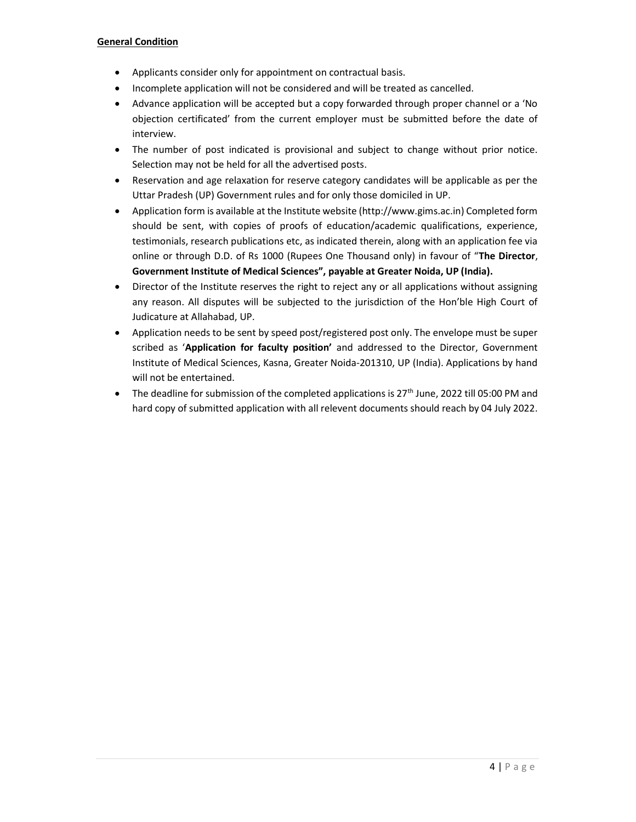#### General Condition

- Applicants consider only for appointment on contractual basis.
- Incomplete application will not be considered and will be treated as cancelled.
- Advance application will be accepted but a copy forwarded through proper channel or a 'No objection certificated' from the current employer must be submitted before the date of interview.
- The number of post indicated is provisional and subject to change without prior notice. Selection may not be held for all the advertised posts.
- Reservation and age relaxation for reserve category candidates will be applicable as per the Uttar Pradesh (UP) Government rules and for only those domiciled in UP.
- Application form is available at the Institute website (http://www.gims.ac.in) Completed form should be sent, with copies of proofs of education/academic qualifications, experience, testimonials, research publications etc, as indicated therein, along with an application fee via online or through D.D. of Rs 1000 (Rupees One Thousand only) in favour of "The Director, Government Institute of Medical Sciences", payable at Greater Noida, UP (India).
- Director of the Institute reserves the right to reject any or all applications without assigning any reason. All disputes will be subjected to the jurisdiction of the Hon'ble High Court of Judicature at Allahabad, UP.
- Application needs to be sent by speed post/registered post only. The envelope must be super scribed as 'Application for faculty position' and addressed to the Director, Government Institute of Medical Sciences, Kasna, Greater Noida-201310, UP (India). Applications by hand will not be entertained.
- The deadline for submission of the completed applications is  $27<sup>th</sup>$  June, 2022 till 05:00 PM and hard copy of submitted application with all relevent documents should reach by 04 July 2022.